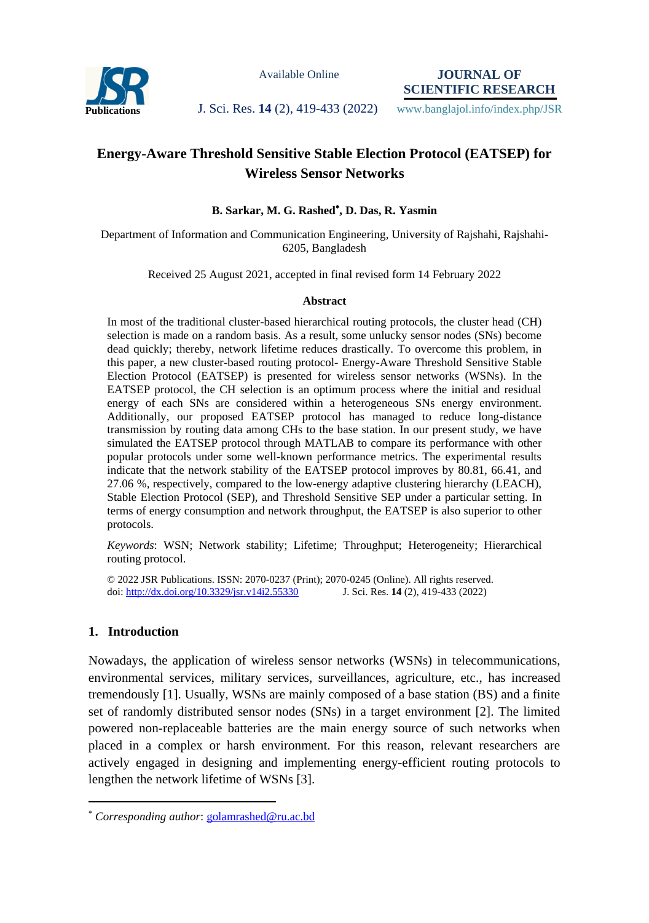

Available Online

**JOURNAL OF SCIENTIFIC RESEARCH**

# **Publications J. Sci. Res. 14 (2), 419-433 (2022)** www.banglajol.info/index.php/JSR

# **Energy-Aware Threshold Sensitive Stable Election Protocol (EATSEP) for Wireless Sensor Networks**

# **B. Sarkar, M. G. Rashed , D. Das, R. Yasmin**

Department of Information and Communication Engineering, University of Rajshahi, Rajshahi-6205, Bangladesh

Received 25 August 2021, accepted in final revised form 14 February 2022

#### **Abstract**

In most of the traditional cluster-based hierarchical routing protocols, the cluster head (CH) selection is made on a random basis. As a result, some unlucky sensor nodes (SNs) become dead quickly; thereby, network lifetime reduces drastically. To overcome this problem, in this paper, a new cluster-based routing protocol- Energy-Aware Threshold Sensitive Stable Election Protocol (EATSEP) is presented for wireless sensor networks (WSNs). In the EATSEP protocol, the CH selection is an optimum process where the initial and residual energy of each SNs are considered within a heterogeneous SNs energy environment. Additionally, our proposed EATSEP protocol has managed to reduce long-distance transmission by routing data among CHs to the base station. In our present study, we have simulated the EATSEP protocol through MATLAB to compare its performance with other popular protocols under some well-known performance metrics. The experimental results indicate that the network stability of the EATSEP protocol improves by 80.81, 66.41, and 27.06 %, respectively, compared to the low-energy adaptive clustering hierarchy (LEACH), Stable Election Protocol (SEP), and Threshold Sensitive SEP under a particular setting. In terms of energy consumption and network throughput, the EATSEP is also superior to other protocols.

*Keywords*: WSN; Network stability; Lifetime; Throughput; Heterogeneity; Hierarchical routing protocol.

© 2022 JSR Publications. ISSN: 2070-0237 (Print); 2070-0245 (Online). All rights reserved. doi:<http://dx.doi.org/10.3329/jsr.v14i2.55330>J. Sci. Res. **14** (2), 419-433 (2022)

### **1. Introduction**

 $\overline{a}$ 

Nowadays, the application of wireless sensor networks (WSNs) in telecommunications, environmental services, military services, surveillances, agriculture, etc., has increased tremendously [1]. Usually, WSNs are mainly composed of a base station (BS) and a finite set of randomly distributed sensor nodes (SNs) in a target environment [2]. The limited powered non-replaceable batteries are the main energy source of such networks when placed in a complex or harsh environment. For this reason, relevant researchers are actively engaged in designing and implementing energy-efficient routing protocols to lengthen the network lifetime of WSNs [3].

*Corresponding author*: [golamrashed@ru.ac.bd](mailto:mahbubchem@cu.ac.bd)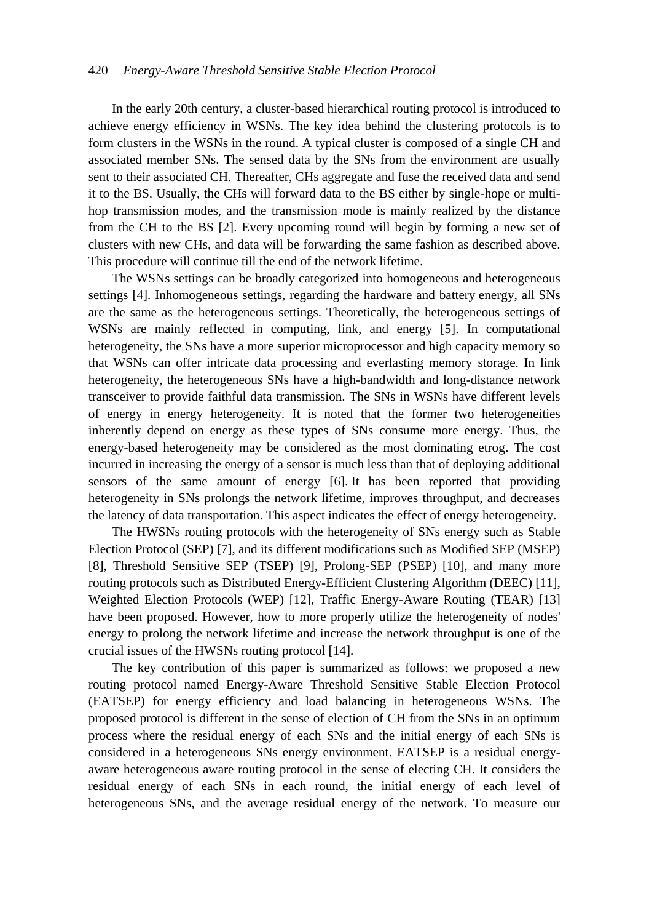In the early 20th century, a cluster-based hierarchical routing protocol is introduced to achieve energy efficiency in WSNs. The key idea behind the clustering protocols is to form clusters in the WSNs in the round. A typical cluster is composed of a single CH and associated member SNs. The sensed data by the SNs from the environment are usually sent to their associated CH. Thereafter, CHs aggregate and fuse the received data and send it to the BS. Usually, the CHs will forward data to the BS either by single-hope or multihop transmission modes, and the transmission mode is mainly realized by the distance from the CH to the BS [2]. Every upcoming round will begin by forming a new set of clusters with new CHs, and data will be forwarding the same fashion as described above. This procedure will continue till the end of the network lifetime.

The WSNs settings can be broadly categorized into homogeneous and heterogeneous settings [4]. Inhomogeneous settings, regarding the hardware and battery energy, all SNs are the same as the heterogeneous settings. Theoretically, the heterogeneous settings of WSNs are mainly reflected in computing, link, and energy [5]. In computational heterogeneity, the SNs have a more superior microprocessor and high capacity memory so that WSNs can offer intricate data processing and everlasting memory storage. In link heterogeneity, the heterogeneous SNs have a high-bandwidth and long-distance network transceiver to provide faithful data transmission. The SNs in WSNs have different levels of energy in energy heterogeneity. It is noted that the former two heterogeneities inherently depend on energy as these types of SNs consume more energy. Thus, the energy-based heterogeneity may be considered as the most dominating etrog. The cost incurred in increasing the energy of a sensor is much less than that of deploying additional sensors of the same amount of energy [6]. It has been reported that providing heterogeneity in SNs prolongs the network lifetime, improves throughput, and decreases the latency of data transportation. This aspect indicates the effect of energy heterogeneity.

The HWSNs routing protocols with the heterogeneity of SNs energy such as Stable Election Protocol (SEP) [7], and its different modifications such as Modified SEP (MSEP) [8], Threshold Sensitive SEP (TSEP) [9], Prolong-SEP (PSEP) [10], and many more routing protocols such as Distributed Energy-Efficient Clustering Algorithm (DEEC) [11], Weighted Election Protocols (WEP) [12], Traffic Energy-Aware Routing (TEAR) [13] have been proposed. However, how to more properly utilize the heterogeneity of nodes' energy to prolong the network lifetime and increase the network throughput is one of the crucial issues of the HWSNs routing protocol [14].

The key contribution of this paper is summarized as follows: we proposed a new routing protocol named Energy-Aware Threshold Sensitive Stable Election Protocol (EATSEP) for energy efficiency and load balancing in heterogeneous WSNs. The proposed protocol is different in the sense of election of CH from the SNs in an optimum process where the residual energy of each SNs and the initial energy of each SNs is considered in a heterogeneous SNs energy environment. EATSEP is a residual energyaware heterogeneous aware routing protocol in the sense of electing CH. It considers the residual energy of each SNs in each round, the initial energy of each level of heterogeneous SNs, and the average residual energy of the network. To measure our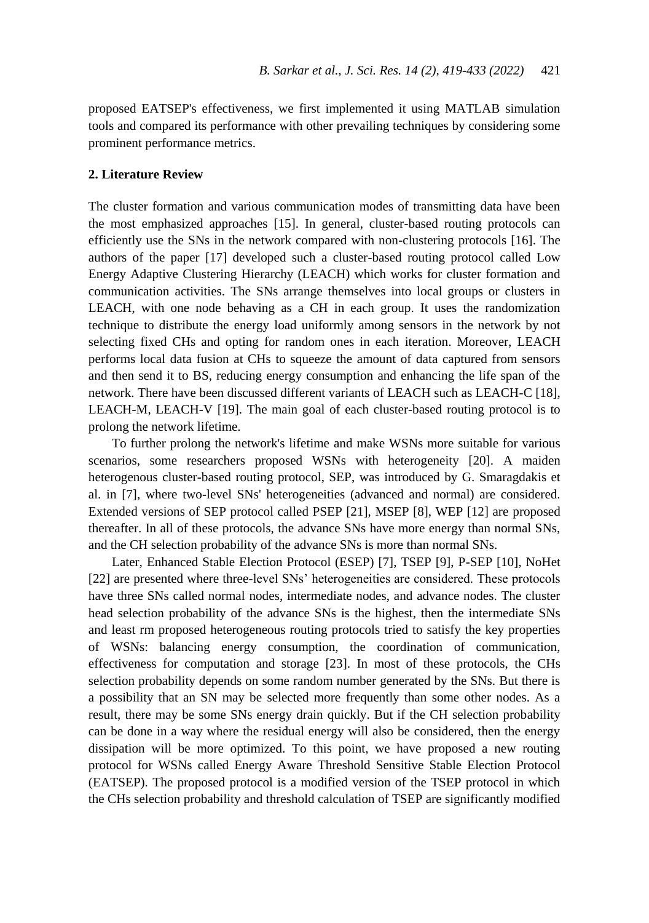proposed EATSEP's effectiveness, we first implemented it using MATLAB simulation tools and compared its performance with other prevailing techniques by considering some prominent performance metrics.

#### **2. Literature Review**

The cluster formation and various communication modes of transmitting data have been the most emphasized approaches [15]. In general, cluster-based routing protocols can efficiently use the SNs in the network compared with non-clustering protocols [16]. The authors of the paper [17] developed such a cluster-based routing protocol called Low Energy Adaptive Clustering Hierarchy (LEACH) which works for cluster formation and communication activities. The SNs arrange themselves into local groups or clusters in LEACH, with one node behaving as a CH in each group. It uses the randomization technique to distribute the energy load uniformly among sensors in the network by not selecting fixed CHs and opting for random ones in each iteration. Moreover, LEACH performs local data fusion at CHs to squeeze the amount of data captured from sensors and then send it to BS, reducing energy consumption and enhancing the life span of the network. There have been discussed different variants of LEACH such as LEACH-C [18], LEACH-M, LEACH-V [19]. The main goal of each cluster-based routing protocol is to prolong the network lifetime.

To further prolong the network's lifetime and make WSNs more suitable for various scenarios, some researchers proposed WSNs with heterogeneity [20]. A maiden heterogenous cluster-based routing protocol, SEP, was introduced by G. Smaragdakis et al. in [7], where two-level SNs' heterogeneities (advanced and normal) are considered. Extended versions of SEP protocol called PSEP [21], MSEP [8], WEP [12] are proposed thereafter. In all of these protocols, the advance SNs have more energy than normal SNs, and the CH selection probability of the advance SNs is more than normal SNs.

Later, Enhanced Stable Election Protocol (ESEP) [7], TSEP [9], P-SEP [10], NoHet [22] are presented where three-level SNs' heterogeneities are considered. These protocols have three SNs called normal nodes, intermediate nodes, and advance nodes. The cluster head selection probability of the advance SNs is the highest, then the intermediate SNs and least rm proposed heterogeneous routing protocols tried to satisfy the key properties of WSNs: balancing energy consumption, the coordination of communication, effectiveness for computation and storage [23]. In most of these protocols, the CHs selection probability depends on some random number generated by the SNs. But there is a possibility that an SN may be selected more frequently than some other nodes. As a result, there may be some SNs energy drain quickly. But if the CH selection probability can be done in a way where the residual energy will also be considered, then the energy dissipation will be more optimized. To this point, we have proposed a new routing protocol for WSNs called Energy Aware Threshold Sensitive Stable Election Protocol (EATSEP). The proposed protocol is a modified version of the TSEP protocol in which the CHs selection probability and threshold calculation of TSEP are significantly modified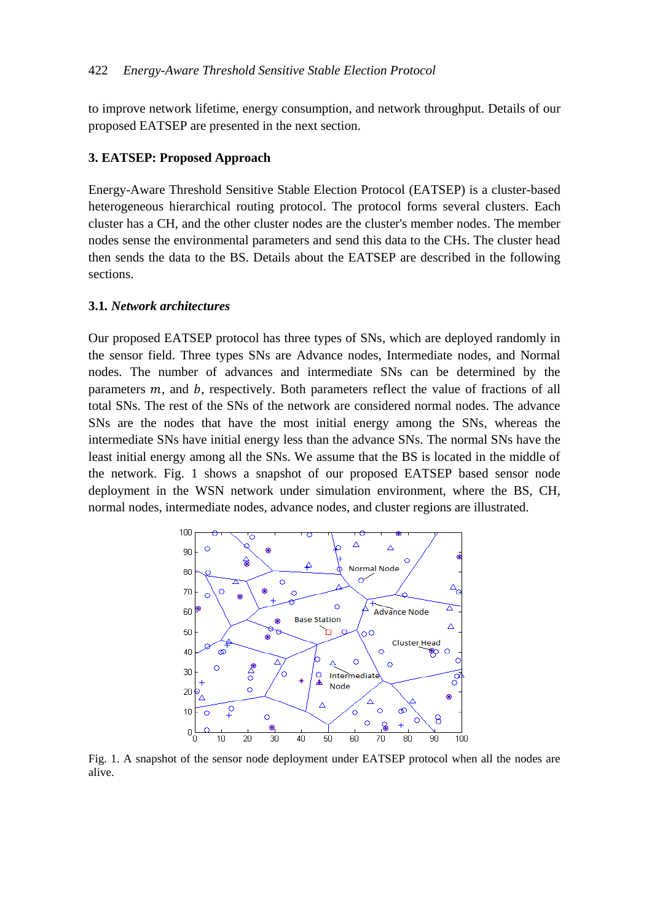to improve network lifetime, energy consumption, and network throughput. Details of our proposed EATSEP are presented in the next section.

# **3. EATSEP: Proposed Approach**

Energy-Aware Threshold Sensitive Stable Election Protocol (EATSEP) is a cluster-based heterogeneous hierarchical routing protocol. The protocol forms several clusters. Each cluster has a CH, and the other cluster nodes are the cluster's member nodes. The member nodes sense the environmental parameters and send this data to the CHs. The cluster head then sends the data to the BS. Details about the EATSEP are described in the following sections.

# **3.1***. Network architectures*

Our proposed EATSEP protocol has three types of SNs, which are deployed randomly in the sensor field. Three types SNs are Advance nodes, Intermediate nodes, and Normal nodes. The number of advances and intermediate SNs can be determined by the parameters  $m$ , and  $b$ , respectively. Both parameters reflect the value of fractions of all total SNs. The rest of the SNs of the network are considered normal nodes. The advance SNs are the nodes that have the most initial energy among the SNs, whereas the intermediate SNs have initial energy less than the advance SNs. The normal SNs have the least initial energy among all the SNs. We assume that the BS is located in the middle of the network. Fig. 1 shows a snapshot of our proposed EATSEP based sensor node deployment in the WSN network under simulation environment, where the BS, CH, normal nodes, intermediate nodes, advance nodes, and cluster regions are illustrated.



Fig. 1. A snapshot of the sensor node deployment under EATSEP protocol when all the nodes are alive.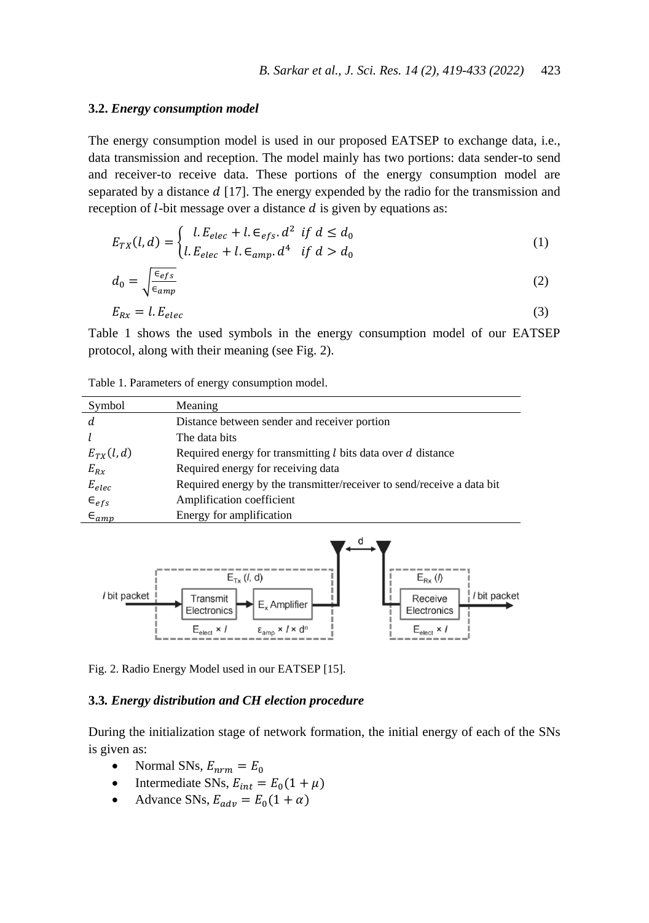#### **3.2.** *Energy consumption model*

The energy consumption model is used in our proposed EATSEP to exchange data, i.e., data transmission and reception. The model mainly has two portions: data sender-to send and receiver-to receive data. These portions of the energy consumption model are separated by a distance  $d$  [17]. The energy expended by the radio for the transmission and reception of  $l$ -bit message over a distance  $d$  is given by equations as:

$$
E_{TX}(l,d) = \begin{cases} l.E_{elec} + l.E_{efs}.d^2 & \text{if } d \le d_0 \\ l.E_{elec} + l.E_{amp}.d^4 & \text{if } d > d_0 \end{cases}
$$
 (1)

$$
d_0 = \sqrt{\frac{\epsilon_{efs}}{\epsilon_{amp}}} \tag{2}
$$

$$
E_{Rx} = l.E_{elec} \tag{3}
$$

Table 1 shows the used symbols in the energy consumption model of our EATSEP protocol, along with their meaning (see Fig. 2).

| Table 1. Parameters of energy consumption model. |  |  |  |
|--------------------------------------------------|--|--|--|
|                                                  |  |  |  |

| Symbol           | Meaning                                                                |
|------------------|------------------------------------------------------------------------|
|                  | Distance between sender and receiver portion                           |
|                  | The data bits                                                          |
| $E_{TX}(l,d)$    | Required energy for transmitting $l$ bits data over $d$ distance       |
| $E_{Rx}$         | Required energy for receiving data                                     |
| $E_{elec}$       | Required energy by the transmitter/receiver to send/receive a data bit |
| $\epsilon_{efs}$ | Amplification coefficient                                              |
| $\epsilon_{amp}$ | Energy for amplification                                               |



Fig. 2. Radio Energy Model used in our EATSEP [15].

### **3.3***. Energy distribution and CH election procedure*

During the initialization stage of network formation, the initial energy of each of the SNs is given as:

- Normal SNs,  $E_{nrm} = E_0$
- Intermediate SNs,  $E_{int} = E_0 (1 + \mu)$
- Advance SNs,  $E_{adv} = E_0(1 + \alpha)$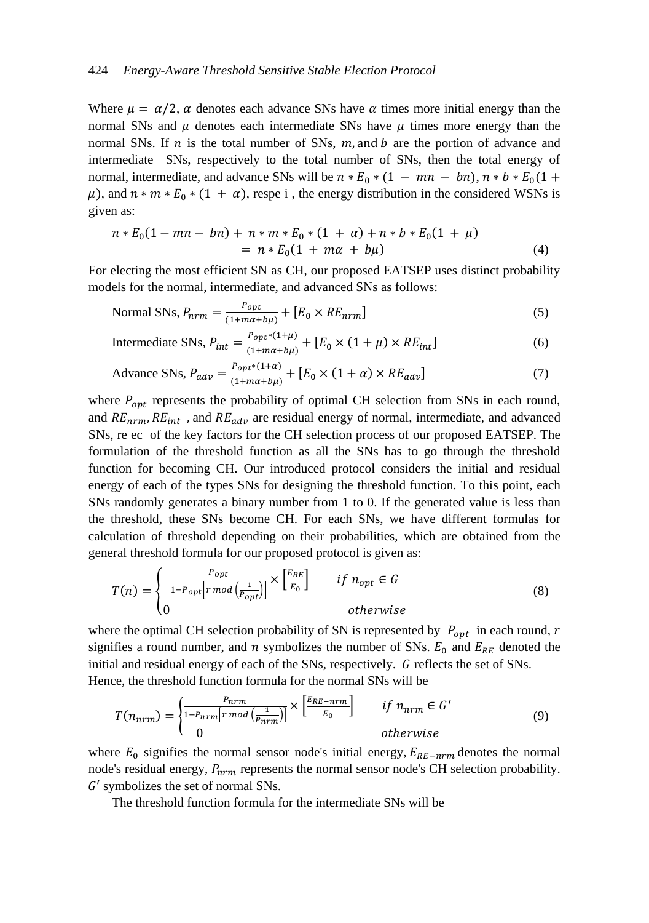#### 424 *Energy-Aware Threshold Sensitive Stable Election Protocol*

Where  $\mu = \alpha/2$ ,  $\alpha$  denotes each advance SNs have  $\alpha$  times more initial energy than the normal SNs and  $\mu$  denotes each intermediate SNs have  $\mu$  times more energy than the normal SNs. If  $n$  is the total number of SNs,  $m$ , and  $b$  are the portion of advance and intermediate SNs, respectively to the total number of SNs, then the total energy of normal, intermediate, and advance SNs will be  $n * E_0 * (1 - mn - bn)$ ,  $n * b * E_0(1 +$  $\mu$ ), and  $n * m * E_0 * (1 + \alpha)$ , respe i, the energy distribution in the considered WSNs is given as:

$$
n * E_0(1 - mn - bn) + n * m * E_0 * (1 + \alpha) + n * b * E_0(1 + \mu)
$$
  
= 
$$
n * E_0(1 + m\alpha + b\mu)
$$
 (4)

For electing the most efficient SN as CH, our proposed EATSEP uses distinct probability models for the normal, intermediate, and advanced SNs as follows:

Normal SNs, 
$$
P_{nrm} = \frac{P_{opt}}{(1 + m\alpha + b\mu)} + [E_0 \times RE_{nrm}]
$$
 (5)

Intermediate SNs, 
$$
P_{int} = \frac{P_{opt}*(1+\mu)}{(1+m\alpha+b\mu)} + [E_0 \times (1+\mu) \times RE_{int}]
$$
 (6)

$$
\text{Advance SNs, } P_{adv} = \frac{P_{opt^*}(1+\alpha)}{(1+m\alpha+b\mu)} + [E_0 \times (1+\alpha) \times RE_{adv}] \tag{7}
$$

where  $P_{opt}$  represents the probability of optimal CH selection from SNs in each round, and  $RE_{nrm}$ ,  $RE_{int}$ , and  $RE_{adv}$  are residual energy of normal, intermediate, and advanced SNs, re ec of the key factors for the CH selection process of our proposed EATSEP. The formulation of the threshold function as all the SNs has to go through the threshold function for becoming CH. Our introduced protocol considers the initial and residual energy of each of the types SNs for designing the threshold function. To this point, each SNs randomly generates a binary number from 1 to 0. If the generated value is less than the threshold, these SNs become CH. For each SNs, we have different formulas for calculation of threshold depending on their probabilities, which are obtained from the general threshold formula for our proposed protocol is given as:

$$
T(n) = \begin{cases} \frac{P_{opt}}{1 - P_{opt}[r \mod (\frac{1}{P_{opt}})]} \times \left[\frac{E_{RE}}{E_0}\right] & \text{if } n_{opt} \in G\\ 0 & \text{otherwise} \end{cases}
$$
(8)

where the optimal CH selection probability of SN is represented by  $P_{opt}$  in each round, r signifies a round number, and n symbolizes the number of SNs.  $E_0$  and  $E_{RE}$  denoted the initial and residual energy of each of the SNs, respectively.  $G$  reflects the set of SNs. Hence, the threshold function formula for the normal SNs will be

$$
T(n_{nrm}) = \begin{cases} \frac{P_{nrm}}{1 - P_{nrm}[r \mod (\frac{1}{P_{nrm})}]} \times \begin{bmatrix} \frac{E_{RE} - nrm}{E_0} \\ 0 \end{bmatrix} & \text{if } n_{nrm} \in G' \\ 0 & \text{otherwise} \end{cases}
$$
(9)

where  $E_0$  signifies the normal sensor node's initial energy,  $E_{RE-nrm}$  denotes the normal node's residual energy,  $P_{nrm}$  represents the normal sensor node's CH selection probability.  $G'$  symbolizes the set of normal SNs.

The threshold function formula for the intermediate SNs will be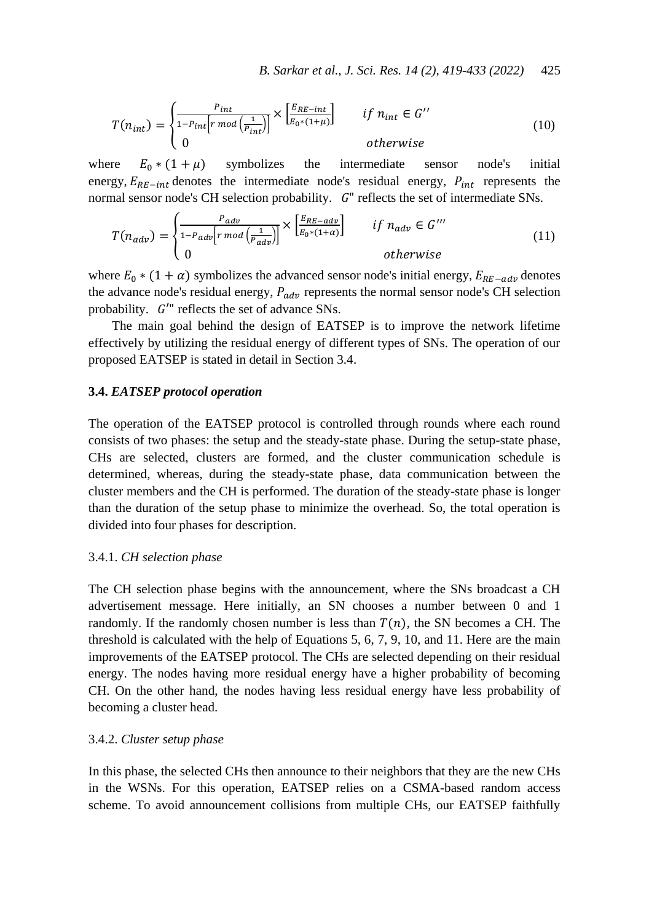*B. Sarkar et al., J. Sci. Res. 14 (2), 419-433 (2022)* 425

$$
T(n_{int}) = \begin{cases} \frac{P_{int}}{1 - P_{int}[r \mod{\left(\frac{1}{P_{int}}\right)}}] \times \left[\frac{E_{RE-int}}{E_0 * (1 + \mu)}\right] & \text{if } n_{int} \in G''\\ 0 & \text{otherwise} \end{cases}
$$
(10)

where  $E_0 * (1 + \mu)$  symbolizes the intermediate sensor node's initial energy,  $E_{RE-int}$  denotes the intermediate node's residual energy,  $P_{int}$  represents the normal sensor node's CH selection probability.  $G<sup>n</sup>$  reflects the set of intermediate SNs.

$$
T(n_{adv}) = \begin{cases} \frac{P_{adv}}{1 - P_{adv}| r \mod (\frac{1}{P_{adv}})} \times \begin{bmatrix} \frac{E_{RE - adv}}{E_0 * (1 + \alpha)} \end{bmatrix} & \text{if } n_{adv} \in G'''\\ 0 & \text{otherwise} \end{cases}
$$
(11)

where  $E_0 * (1 + \alpha)$  symbolizes the advanced sensor node's initial energy,  $E_{RE-adv}$  denotes the advance node's residual energy,  $P_{adv}$  represents the normal sensor node's CH selection probability.  $G^{\prime\prime}$  reflects the set of advance SNs.

The main goal behind the design of EATSEP is to improve the network lifetime effectively by utilizing the residual energy of different types of SNs. The operation of our proposed EATSEP is stated in detail in Section 3.4.

#### **3.4.** *EATSEP protocol operation*

The operation of the EATSEP protocol is controlled through rounds where each round consists of two phases: the setup and the steady-state phase. During the setup-state phase, CHs are selected, clusters are formed, and the cluster communication schedule is determined, whereas, during the steady-state phase, data communication between the cluster members and the CH is performed. The duration of the steady-state phase is longer than the duration of the setup phase to minimize the overhead. So, the total operation is divided into four phases for description.

#### 3.4.1. *CH selection phase*

The CH selection phase begins with the announcement, where the SNs broadcast a CH advertisement message. Here initially, an SN chooses a number between 0 and 1 randomly. If the randomly chosen number is less than  $T(n)$ , the SN becomes a CH. The threshold is calculated with the help of Equations 5, 6, 7, 9, 10, and 11. Here are the main improvements of the EATSEP protocol. The CHs are selected depending on their residual energy. The nodes having more residual energy have a higher probability of becoming CH. On the other hand, the nodes having less residual energy have less probability of becoming a cluster head.

#### 3.4.2. *Cluster setup phase*

In this phase, the selected CHs then announce to their neighbors that they are the new CHs in the WSNs. For this operation, EATSEP relies on a CSMA-based random access scheme. To avoid announcement collisions from multiple CHs, our EATSEP faithfully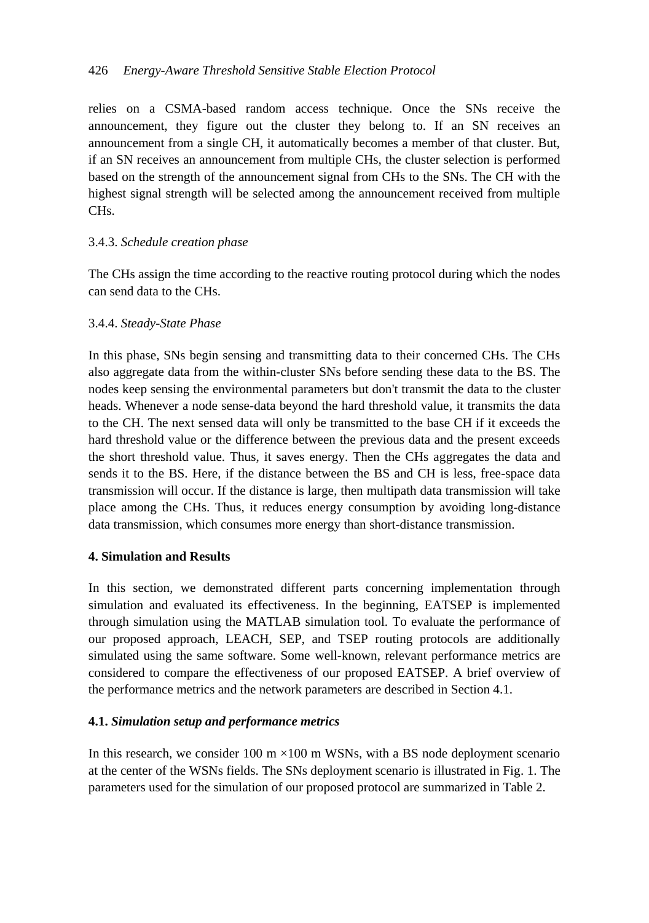# 426 *Energy-Aware Threshold Sensitive Stable Election Protocol*

relies on a CSMA-based random access technique. Once the SNs receive the announcement, they figure out the cluster they belong to. If an SN receives an announcement from a single CH, it automatically becomes a member of that cluster. But, if an SN receives an announcement from multiple CHs, the cluster selection is performed based on the strength of the announcement signal from CHs to the SNs. The CH with the highest signal strength will be selected among the announcement received from multiple CHs.

# 3.4.3. *Schedule creation phase*

The CHs assign the time according to the reactive routing protocol during which the nodes can send data to the CHs.

# 3.4.4. *Steady-State Phase*

In this phase, SNs begin sensing and transmitting data to their concerned CHs. The CHs also aggregate data from the within-cluster SNs before sending these data to the BS. The nodes keep sensing the environmental parameters but don't transmit the data to the cluster heads. Whenever a node sense-data beyond the hard threshold value, it transmits the data to the CH. The next sensed data will only be transmitted to the base CH if it exceeds the hard threshold value or the difference between the previous data and the present exceeds the short threshold value. Thus, it saves energy. Then the CHs aggregates the data and sends it to the BS. Here, if the distance between the BS and CH is less, free-space data transmission will occur. If the distance is large, then multipath data transmission will take place among the CHs. Thus, it reduces energy consumption by avoiding long-distance data transmission, which consumes more energy than short-distance transmission.

# **4. Simulation and Results**

In this section, we demonstrated different parts concerning implementation through simulation and evaluated its effectiveness. In the beginning, EATSEP is implemented through simulation using the MATLAB simulation tool. To evaluate the performance of our proposed approach, LEACH, SEP, and TSEP routing protocols are additionally simulated using the same software. Some well-known, relevant performance metrics are considered to compare the effectiveness of our proposed EATSEP. A brief overview of the performance metrics and the network parameters are described in Section 4.1.

# **4.1.** *Simulation setup and performance metrics*

In this research, we consider 100 m  $\times$ 100 m WSNs, with a BS node deployment scenario at the center of the WSNs fields. The SNs deployment scenario is illustrated in Fig. 1. The parameters used for the simulation of our proposed protocol are summarized in Table 2.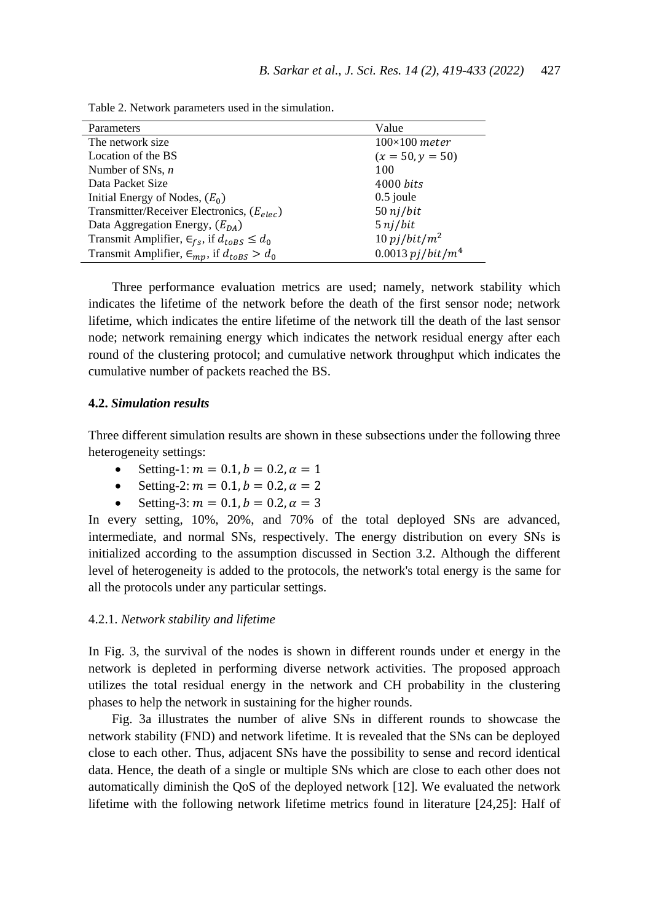| Parameters                                                   | Value                          |
|--------------------------------------------------------------|--------------------------------|
| The network size.                                            | $100\times100$ meter           |
| Location of the BS                                           | $(x = 50, y = 50)$             |
| Number of SNs, $n$                                           | 100                            |
| Data Packet Size                                             | $4000 \; bits$                 |
| Initial Energy of Nodes, $(E_0)$                             | $0.5$ joule                    |
| Transmitter/Receiver Electronics, $(E_{elec})$               | $50$ nj/bit                    |
| Data Aggregation Energy, $(E_{DA})$                          | $5$ nj/bit                     |
| Transmit Amplifier, $\epsilon_{fs}$ , if $d_{toBS} \leq d_0$ | $10$ pj/bit/m <sup>2</sup>     |
| Transmit Amplifier, $\epsilon_{mp}$ , if $d_{toBS} > d_0$    | $0.0013$ pj/bit/m <sup>4</sup> |

Table 2. Network parameters used in the simulation.

Three performance evaluation metrics are used; namely, network stability which indicates the lifetime of the network before the death of the first sensor node; network lifetime, which indicates the entire lifetime of the network till the death of the last sensor node; network remaining energy which indicates the network residual energy after each round of the clustering protocol; and cumulative network throughput which indicates the cumulative number of packets reached the BS.

#### **4.2.** *Simulation results*

Three different simulation results are shown in these subsections under the following three heterogeneity settings:

- Setting-1:  $m = 0.1$ ,  $b = 0.2$ ,  $\alpha = 1$
- Setting-2:  $m = 0.1$ ,  $b = 0.2$ ,  $\alpha = 2$
- Setting-3:  $m = 0.1$ ,  $b = 0.2$ ,  $\alpha = 3$

In every setting, 10%, 20%, and 70% of the total deployed SNs are advanced, intermediate, and normal SNs, respectively. The energy distribution on every SNs is initialized according to the assumption discussed in Section 3.2. Although the different level of heterogeneity is added to the protocols, the network's total energy is the same for all the protocols under any particular settings.

### 4.2.1. *Network stability and lifetime*

In Fig. 3, the survival of the nodes is shown in different rounds under et energy in the network is depleted in performing diverse network activities. The proposed approach utilizes the total residual energy in the network and CH probability in the clustering phases to help the network in sustaining for the higher rounds.

Fig. 3a illustrates the number of alive SNs in different rounds to showcase the network stability (FND) and network lifetime. It is revealed that the SNs can be deployed close to each other. Thus, adjacent SNs have the possibility to sense and record identical data. Hence, the death of a single or multiple SNs which are close to each other does not automatically diminish the QoS of the deployed network [12]. We evaluated the network lifetime with the following network lifetime metrics found in literature [24,25]: Half of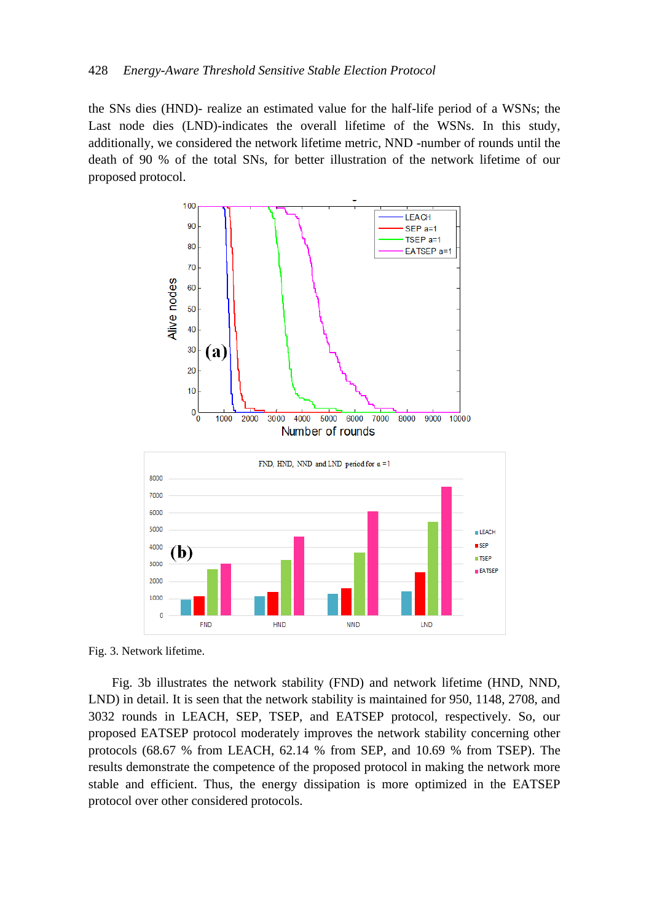the SNs dies (HND)- realize an estimated value for the half-life period of a WSNs; the Last node dies (LND)-indicates the overall lifetime of the WSNs. In this study, additionally, we considered the network lifetime metric, NND -number of rounds until the death of 90 % of the total SNs, for better illustration of the network lifetime of our proposed protocol.



Fig. 3. Network lifetime.

Fig. 3b illustrates the network stability (FND) and network lifetime (HND, NND, LND) in detail. It is seen that the network stability is maintained for 950, 1148, 2708, and 3032 rounds in LEACH, SEP, TSEP, and EATSEP protocol, respectively. So, our proposed EATSEP protocol moderately improves the network stability concerning other protocols (68.67 % from LEACH, 62.14 % from SEP, and 10.69 % from TSEP). The results demonstrate the competence of the proposed protocol in making the network more stable and efficient. Thus, the energy dissipation is more optimized in the EATSEP protocol over other considered protocols.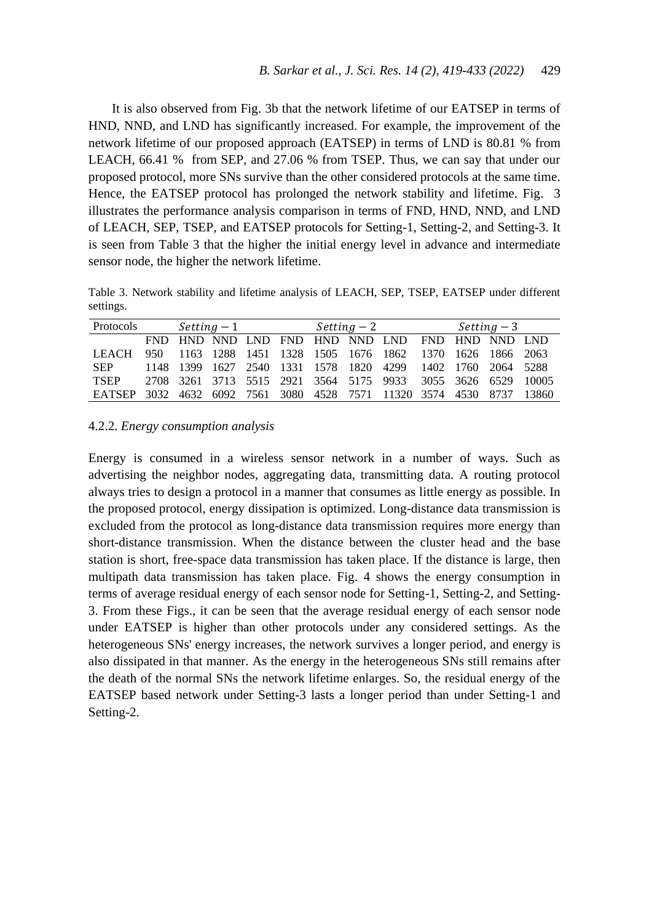It is also observed from Fig. 3b that the network lifetime of our EATSEP in terms of HND, NND, and LND has significantly increased. For example, the improvement of the network lifetime of our proposed approach (EATSEP) in terms of LND is 80.81 % from LEACH, 66.41 % from SEP, and 27.06 % from TSEP. Thus, we can say that under our proposed protocol, more SNs survive than the other considered protocols at the same time. Hence, the EATSEP protocol has prolonged the network stability and lifetime. Fig. 3 illustrates the performance analysis comparison in terms of FND, HND, NND, and LND of LEACH, SEP, TSEP, and EATSEP protocols for Setting-1, Setting-2, and Setting-3. It is seen from Table 3 that the higher the initial energy level in advance and intermediate sensor node, the higher the network lifetime.

Table 3. Network stability and lifetime analysis of LEACH, SEP, TSEP, EATSEP under different settings.

| Protocols                                                            |      | $Setting -1$ |  |  | Setting – 2 |  |                                                              | Setting – 3 |  |  |  |
|----------------------------------------------------------------------|------|--------------|--|--|-------------|--|--------------------------------------------------------------|-------------|--|--|--|
|                                                                      | FND. |              |  |  |             |  | HND NND LND FND HND NND LND FND HND NND LND                  |             |  |  |  |
| <b>LEACH</b>                                                         | 950. |              |  |  |             |  | 1163 1288 1451 1328 1505 1676 1862 1370 1626 1866 2063       |             |  |  |  |
| <b>SEP</b>                                                           |      |              |  |  |             |  | 1148 1399 1627 2540 1331 1578 1820 4299 1402 1760 2064 5288  |             |  |  |  |
| <b>TSEP</b>                                                          |      |              |  |  |             |  | 2708 3261 3713 5515 2921 3564 5175 9933 3055 3626 6529 10005 |             |  |  |  |
| EATSEP 3032 4632 6092 7561 3080 4528 7571 11320 3574 4530 8737 13860 |      |              |  |  |             |  |                                                              |             |  |  |  |

#### 4.2.2. *Energy consumption analysis*

Energy is consumed in a wireless sensor network in a number of ways. Such as advertising the neighbor nodes, aggregating data, transmitting data. A routing protocol always tries to design a protocol in a manner that consumes as little energy as possible. In the proposed protocol, energy dissipation is optimized. Long-distance data transmission is excluded from the protocol as long-distance data transmission requires more energy than short-distance transmission. When the distance between the cluster head and the base station is short, free-space data transmission has taken place. If the distance is large, then multipath data transmission has taken place. Fig. 4 shows the energy consumption in terms of average residual energy of each sensor node for Setting-1, Setting-2, and Setting-3. From these Figs., it can be seen that the average residual energy of each sensor node under EATSEP is higher than other protocols under any considered settings. As the heterogeneous SNs' energy increases, the network survives a longer period, and energy is also dissipated in that manner. As the energy in the heterogeneous SNs still remains after the death of the normal SNs the network lifetime enlarges. So, the residual energy of the EATSEP based network under Setting-3 lasts a longer period than under Setting-1 and Setting-2.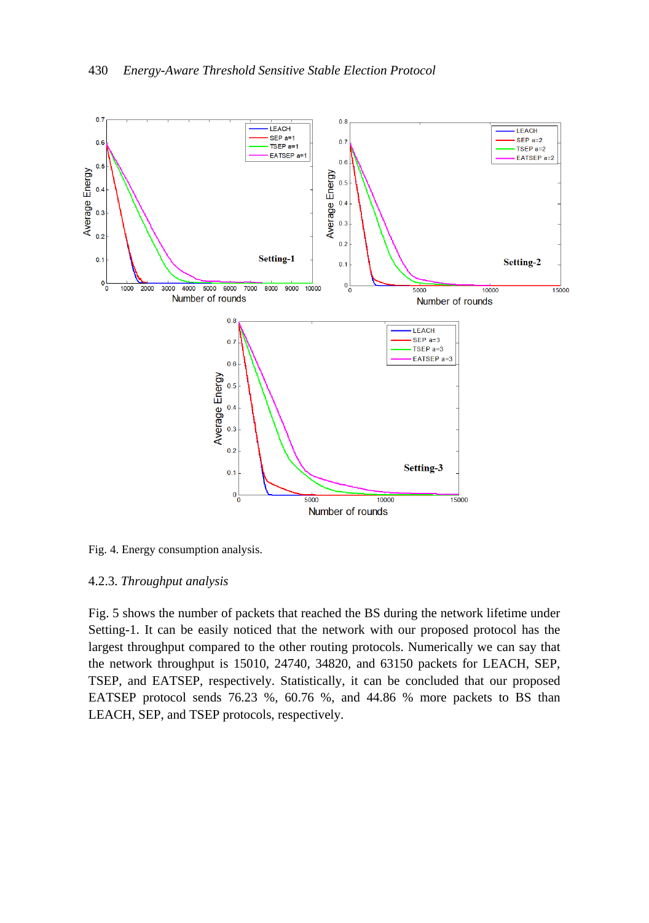

Fig. 4. Energy consumption analysis.

# 4.2.3. *Throughput analysis*

Fig. 5 shows the number of packets that reached the BS during the network lifetime under Setting-1. It can be easily noticed that the network with our proposed protocol has the largest throughput compared to the other routing protocols. Numerically we can say that the network throughput is 15010, 24740, 34820, and 63150 packets for LEACH, SEP, TSEP, and EATSEP, respectively. Statistically, it can be concluded that our proposed EATSEP protocol sends 76.23 %, 60.76 %, and 44.86 % more packets to BS than LEACH, SEP, and TSEP protocols, respectively.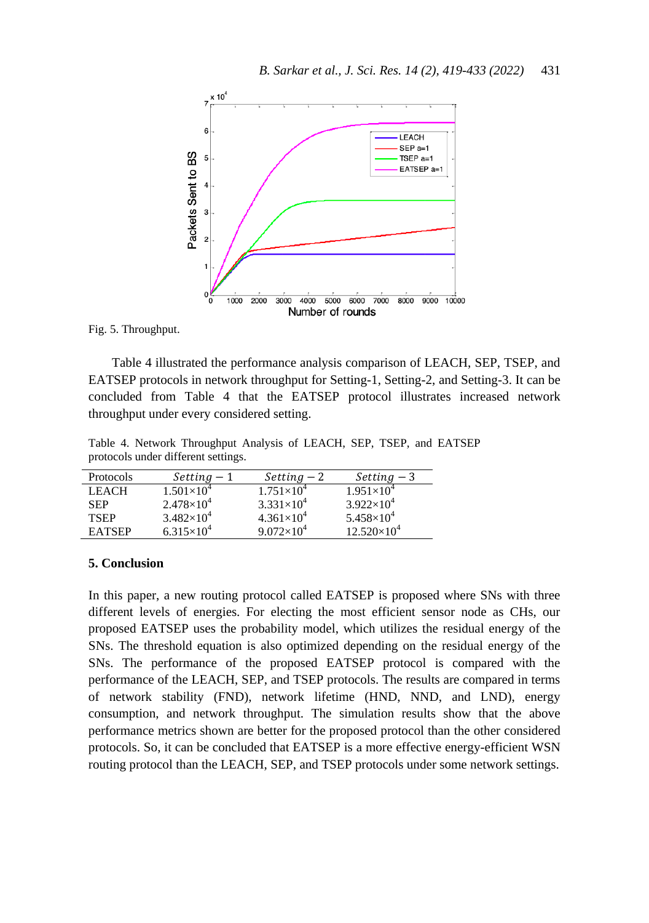

Fig. 5. Throughput.

Table 4 illustrated the performance analysis comparison of LEACH, SEP, TSEP, and EATSEP protocols in network throughput for Setting-1, Setting-2, and Setting-3. It can be concluded from Table 4 that the EATSEP protocol illustrates increased network throughput under every considered setting.

Table 4. Network Throughput Analysis of LEACH, SEP, TSEP, and EATSEP protocols under different settings.

| Protocols     | $Setting -1$        | $Setting -2$        | $Setting -3$         |
|---------------|---------------------|---------------------|----------------------|
| <b>LEACH</b>  | $1.501\times10^{4}$ | $1.751\times10^{4}$ | $1.951\times10^{4}$  |
| <b>SEP</b>    | $2.478\times10^{4}$ | $3.331\times10^{4}$ | $3.922\times10^{4}$  |
| <b>TSEP</b>   | $3.482\times10^{4}$ | $4.361\times10^{4}$ | $5.458\times10^{4}$  |
| <b>EATSEP</b> | $6.315\times10^{4}$ | $9.072\times10^{4}$ | $12.520\times10^{4}$ |

#### **5. Conclusion**

In this paper, a new routing protocol called EATSEP is proposed where SNs with three different levels of energies. For electing the most efficient sensor node as CHs, our proposed EATSEP uses the probability model, which utilizes the residual energy of the SNs. The threshold equation is also optimized depending on the residual energy of the SNs. The performance of the proposed EATSEP protocol is compared with the performance of the LEACH, SEP, and TSEP protocols. The results are compared in terms of network stability (FND), network lifetime (HND, NND, and LND), energy consumption, and network throughput. The simulation results show that the above performance metrics shown are better for the proposed protocol than the other considered protocols. So, it can be concluded that EATSEP is a more effective energy-efficient WSN routing protocol than the LEACH, SEP, and TSEP protocols under some network settings.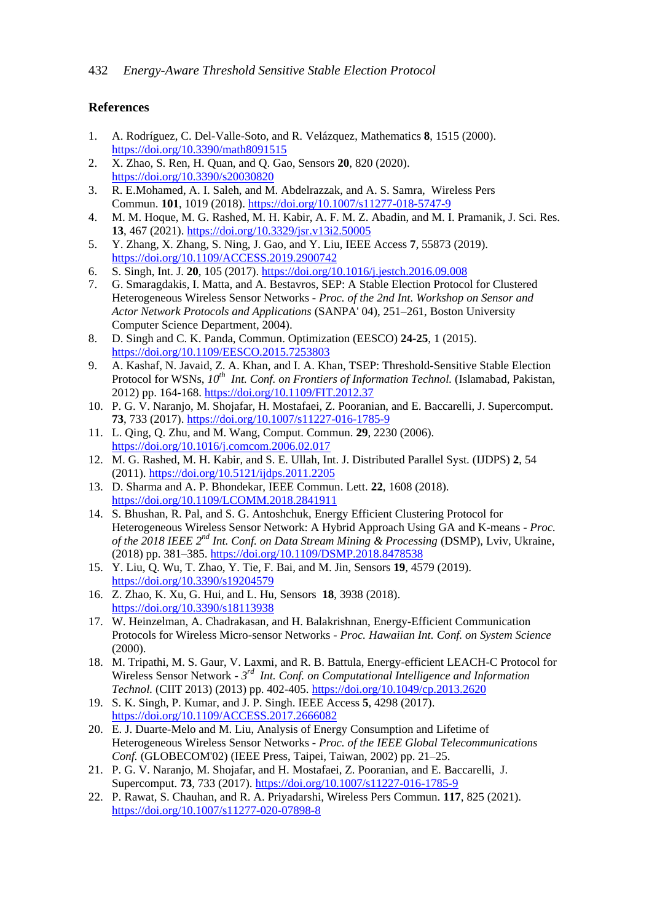# **References**

- 1. A. Rodríguez, C. Del-Valle-Soto, and R. Velázquez, Mathematics **8**, 1515 (2000). <https://doi.org/10.3390/math8091515>
- 2. X. Zhao, S. Ren, H. Quan, and Q. Gao, Sensors **20**, 820 (2020). <https://doi.org/10.3390/s20030820>
- 3. R. E.Mohamed, A. I. Saleh, and M. Abdelrazzak, and A. S. Samra, Wireless Pers Commun. **101**, 1019 (2018).<https://doi.org/10.1007/s11277-018-5747-9>
- 4. M. M. Hoque, M. G. Rashed, M. H. Kabir, A. F. M. Z. Abadin, and M. I. Pramanik, J. Sci. Res. **13**, 467 (2021).<https://doi.org/10.3329/jsr.v13i2.50005>
- 5. Y. Zhang, X. Zhang, S. Ning, J. Gao, and Y. Liu, IEEE Access **7**, 55873 (2019). <https://doi.org/10.1109/ACCESS.2019.2900742>
- 6. S. Singh, Int. J. **20**, 105 (2017)[. https://doi.org/10.1016/j.jestch.2016.09.008](https://doi.org/10.1016/j.jestch.2016.09.008)
- 7. G. Smaragdakis, I. Matta, and A. Bestavros, SEP: A Stable Election Protocol for Clustered Heterogeneous Wireless Sensor Networks - *Proc. of the 2nd Int. Workshop on Sensor and Actor Network Protocols and Applications* (SANPA' 04), 251–261, Boston University Computer Science Department, 2004).
- 8. D. Singh and C. K. Panda, Commun. Optimization (EESCO) **24-25**, 1 (2015). <https://doi.org/10.1109/EESCO.2015.7253803>
- 9. A. Kashaf, N. Javaid, Z. A. Khan, and I. A. Khan, TSEP: Threshold-Sensitive Stable Election Protocol for WSNs, *10th Int. Conf. on Frontiers of Information Technol.* (Islamabad, Pakistan, 2012) pp. 164-168[. https://doi.org/10.1109/FIT.2012.37](https://doi.org/10.1109/FIT.2012.37)
- 10. P. G. V. Naranjo, M. Shojafar, H. Mostafaei, Z. Pooranian, and E. Baccarelli, J. Supercomput. **73**, 733 (2017).<https://doi.org/10.1007/s11227-016-1785-9>
- 11. L. Qing, Q. Zhu, and M. Wang, Comput. Commun. **29**, 2230 (2006). <https://doi.org/10.1016/j.comcom.2006.02.017>
- 12. M. G. Rashed, M. H. Kabir, and S. E. Ullah, Int. J. Distributed Parallel Syst. (IJDPS) **2**, 54 (2011)[. https://doi.org/10.5121/ijdps.2011.2205](https://doi.org/10.5121/ijdps.2011.2205)
- 13. D. Sharma and A. P. Bhondekar, IEEE Commun. Lett. **22**, 1608 (2018). <https://doi.org/10.1109/LCOMM.2018.2841911>
- 14. S. Bhushan, R. Pal, and S. G. Antoshchuk, Energy Efficient Clustering Protocol for Heterogeneous Wireless Sensor Network: A Hybrid Approach Using GA and K-means - *Proc. of the 2018 IEEE 2 nd Int. Conf. on Data Stream Mining & Processing* (DSMP), Lviv, Ukraine, (2018) pp. 381–385.<https://doi.org/10.1109/DSMP.2018.8478538>
- 15. Y. Liu, Q. Wu, T. Zhao, Y. Tie, F. Bai, and M. Jin, Sensors **19**, 4579 (2019). <https://doi.org/10.3390/s19204579>
- 16. Z. Zhao, K. Xu, G. Hui, and L. Hu, Sensors **18**, 3938 (2018). <https://doi.org/10.3390/s18113938>
- 17. W. Heinzelman, A. Chadrakasan, and H. Balakrishnan, Energy-Efficient Communication Protocols for Wireless Micro-sensor Networks - *Proc. Hawaiian Int. Conf. on System Science* (2000).
- 18. M. Tripathi, M. S. Gaur, V. Laxmi, and R. B. Battula, Energy-efficient LEACH-C Protocol for Wireless Sensor Network - 3<sup>rd</sup> Int. Conf. on Computational Intelligence and Information *Technol.* (CIIT 2013) (2013) pp. 402-405. <https://doi.org/10.1049/cp.2013.2620>
- 19. S. K. Singh, P. Kumar, and J. P. Singh. IEEE Access **5**, 4298 (2017). <https://doi.org/10.1109/ACCESS.2017.2666082>
- 20. E. J. Duarte-Melo and M. Liu, Analysis of Energy Consumption and Lifetime of Heterogeneous Wireless Sensor Networks - *Proc. of the IEEE Global Telecommunications Conf.* (GLOBECOM'02) (IEEE Press, Taipei, Taiwan, 2002) pp. 21–25.
- 21. P. G. V. Naranjo, M. Shojafar, and H. Mostafaei, Z. Pooranian, and E. Baccarelli, J. Supercomput. **73**, 733 (2017). <https://doi.org/10.1007/s11227-016-1785-9>
- 22. P. Rawat, S. Chauhan, and R. A. Priyadarshi, Wireless Pers Commun. **117**, 825 (2021). <https://doi.org/10.1007/s11277-020-07898-8>